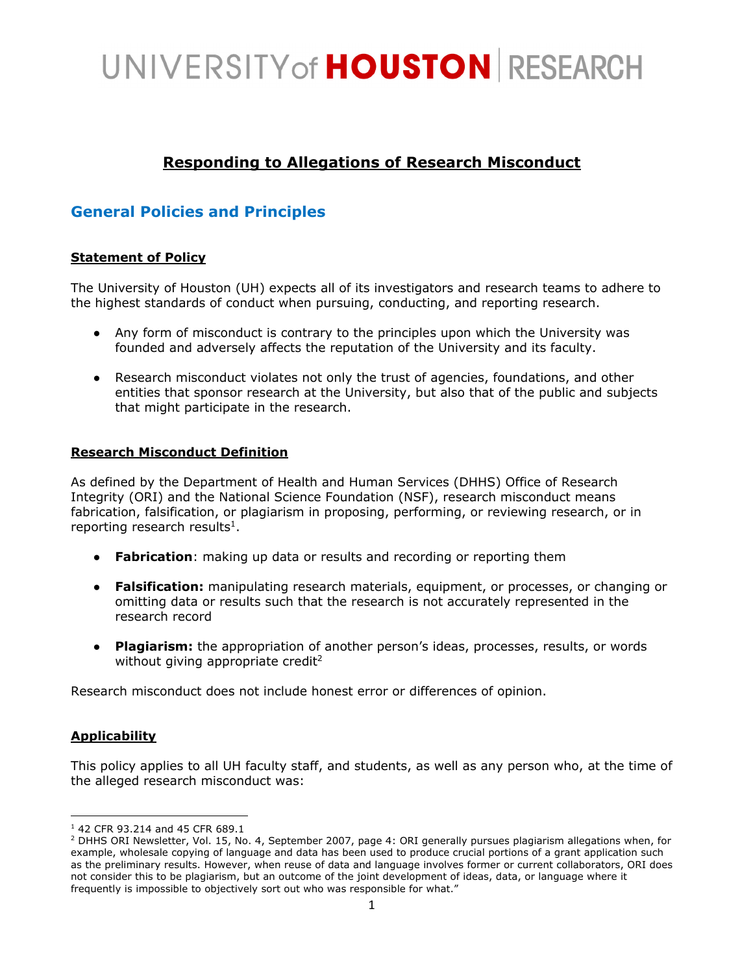### **Responding to Allegations of Research Misconduct**

### **General Policies and Principles**

### **Statement of Policy**

The University of Houston (UH) expects all of its investigators and research teams to adhere to the highest standards of conduct when pursuing, conducting, and reporting research.

- Any form of misconduct is contrary to the principles upon which the University was founded and adversely affects the reputation of the University and its faculty.
- Research misconduct violates not only the trust of agencies, foundations, and other entities that sponsor research at the University, but also that of the public and subjects that might participate in the research.

### **Research Misconduct Definition**

As defined by the Department of Health and Human Services (DHHS) Office of Research Integrity (ORI) and the National Science Foundation (NSF), research misconduct means fabrication, falsification, or plagiarism in proposing, performing, or reviewing research, or in reporting research results<sup>1</sup>.

- **Fabrication**: making up data or results and recording or reporting them
- **Falsification:** manipulating research materials, equipment, or processes, or changing or omitting data or results such that the research is not accurately represented in the research record
- **Plagiarism:** the appropriation of another person's ideas, processes, results, or words without giving appropriate credit<sup>2</sup>

Research misconduct does not include honest error or differences of opinion.

### **Applicability**

This policy applies to all UH faculty staff, and students, as well as any person who, at the time of the alleged research misconduct was:

<sup>1 42</sup> CFR 93.214 and 45 CFR 689.1

<sup>2</sup> DHHS ORI Newsletter, Vol. 15, No. 4, September 2007, page 4: ORI generally pursues plagiarism allegations when, for example, wholesale copying of language and data has been used to produce crucial portions of a grant application such as the preliminary results. However, when reuse of data and language involves former or current collaborators, ORI does not consider this to be plagiarism, but an outcome of the joint development of ideas, data, or language where it frequently is impossible to objectively sort out who was responsible for what."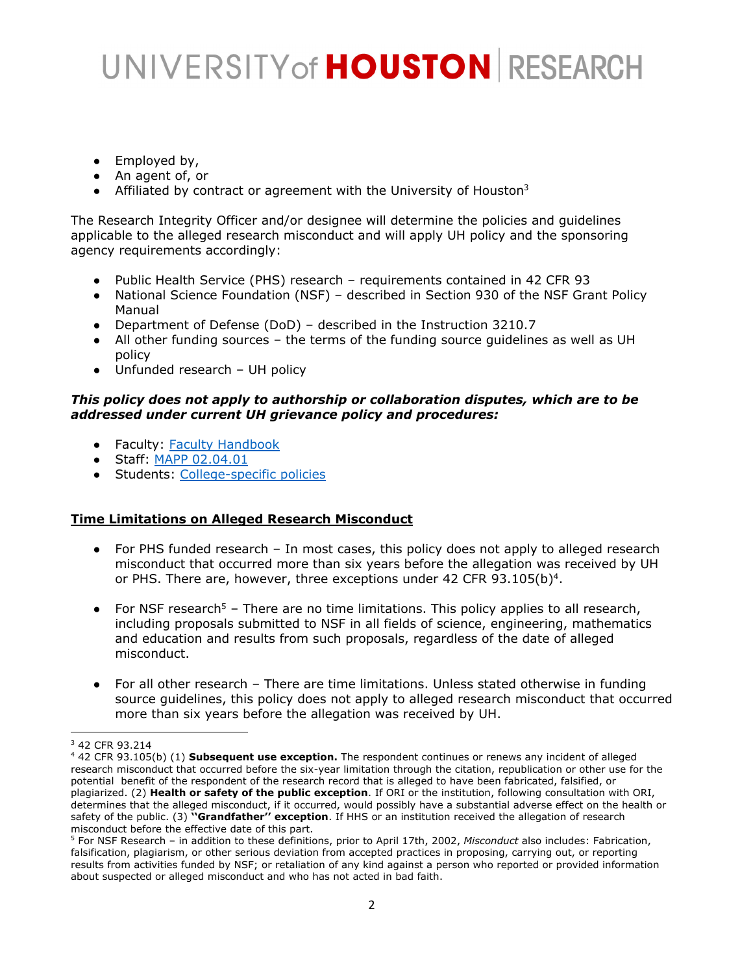- $\bullet$  Employed by,
- An agent of, or
- Affiliated by contract or agreement with the University of Houston<sup>3</sup>

The Research Integrity Officer and/or designee will determine the policies and guidelines applicable to the alleged research misconduct and will apply UH policy and the sponsoring agency requirements accordingly:

- Public Health Service (PHS) research requirements contained in 42 CFR 93
- National Science Foundation (NSF) described in Section 930 of the NSF Grant Policy Manual
- Department of Defense (DoD) described in the Instruction 3210.7
- All other funding sources the terms of the funding source guidelines as well as UH policy
- Unfunded research UH policy

#### *This policy does not apply to authorship or collaboration disputes, which are to be addressed under current UH grievance policy and procedures:*

- Faculty: Faculty Handbook
- Staff: MAPP 02.04.01
- Students: College-specific policies

#### **Time Limitations on Alleged Research Misconduct**

- For PHS funded research In most cases, this policy does not apply to alleged research misconduct that occurred more than six years before the allegation was received by UH or PHS. There are, however, three exceptions under 42 CFR  $93.105(b)^4$ .
- For NSF research<sup>5</sup> There are no time limitations. This policy applies to all research, including proposals submitted to NSF in all fields of science, engineering, mathematics and education and results from such proposals, regardless of the date of alleged misconduct.
- For all other research There are time limitations. Unless stated otherwise in funding source guidelines, this policy does not apply to alleged research misconduct that occurred more than six years before the allegation was received by UH.

<sup>3 42</sup> CFR 93.214

<sup>4 42</sup> CFR 93.105(b) (1) **Subsequent use exception.** The respondent continues or renews any incident of alleged research misconduct that occurred before the six-year limitation through the citation, republication or other use for the potential benefit of the respondent of the research record that is alleged to have been fabricated, falsified, or plagiarized. (2) **Health or safety of the public exception**. If ORI or the institution, following consultation with ORI, determines that the alleged misconduct, if it occurred, would possibly have a substantial adverse effect on the health or safety of the public. (3) **''Grandfather'' exception**. If HHS or an institution received the allegation of research misconduct before the effective date of this part.

<sup>5</sup> For NSF Research – in addition to these definitions, prior to April 17th, 2002, *Misconduct* also includes: Fabrication, falsification, plagiarism, or other serious deviation from accepted practices in proposing, carrying out, or reporting results from activities funded by NSF; or retaliation of any kind against a person who reported or provided information about suspected or alleged misconduct and who has not acted in bad faith.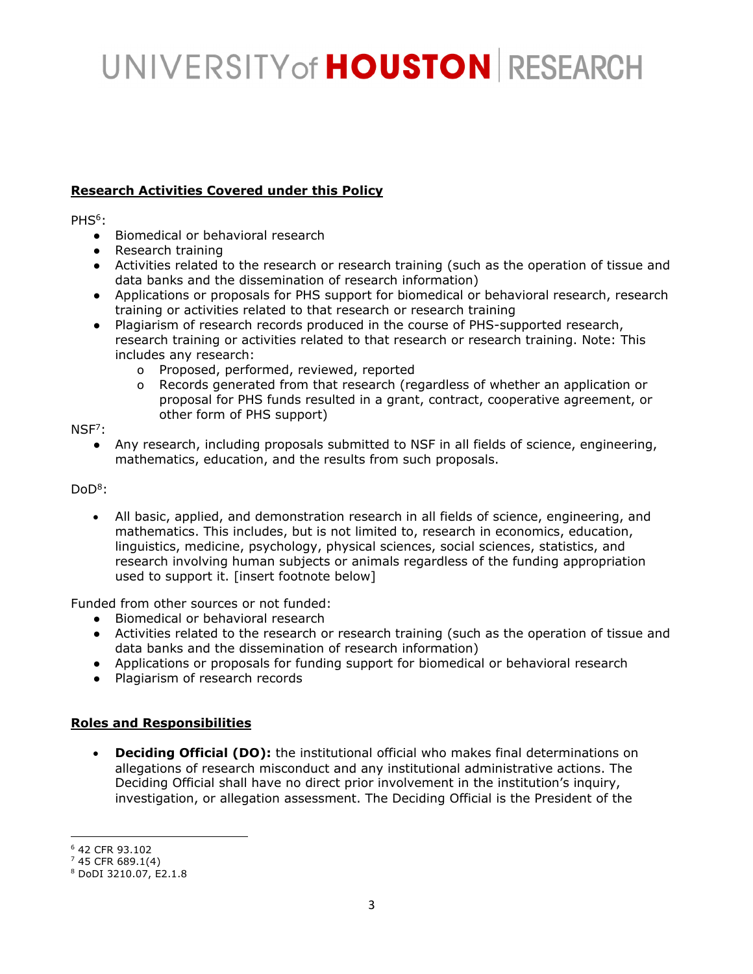### **Research Activities Covered under this Policy**

PHS<sup>6</sup>:

- Biomedical or behavioral research
- Research training
- Activities related to the research or research training (such as the operation of tissue and data banks and the dissemination of research information)
- Applications or proposals for PHS support for biomedical or behavioral research, research training or activities related to that research or research training
- Plagiarism of research records produced in the course of PHS-supported research, research training or activities related to that research or research training. Note: This includes any research:
	- o Proposed, performed, reviewed, reported
	- o Records generated from that research (regardless of whether an application or proposal for PHS funds resulted in a grant, contract, cooperative agreement, or other form of PHS support)

#### $NSF^7$ :

Any research, including proposals submitted to NSF in all fields of science, engineering, mathematics, education, and the results from such proposals.

### Do<sub>D</sub><sup>8</sup>:

 All basic, applied, and demonstration research in all fields of science, engineering, and mathematics. This includes, but is not limited to, research in economics, education, linguistics, medicine, psychology, physical sciences, social sciences, statistics, and research involving human subjects or animals regardless of the funding appropriation used to support it. [insert footnote below]

Funded from other sources or not funded:

- Biomedical or behavioral research
- Activities related to the research or research training (such as the operation of tissue and data banks and the dissemination of research information)
- Applications or proposals for funding support for biomedical or behavioral research
- Plagiarism of research records

### **Roles and Responsibilities**

 **Deciding Official (DO):** the institutional official who makes final determinations on allegations of research misconduct and any institutional administrative actions. The Deciding Official shall have no direct prior involvement in the institution's inquiry, investigation, or allegation assessment. The Deciding Official is the President of the

<sup>6 42</sup> CFR 93.102

 $745$  CFR 689.1(4)

<sup>8</sup> DoDI 3210.07, E2.1.8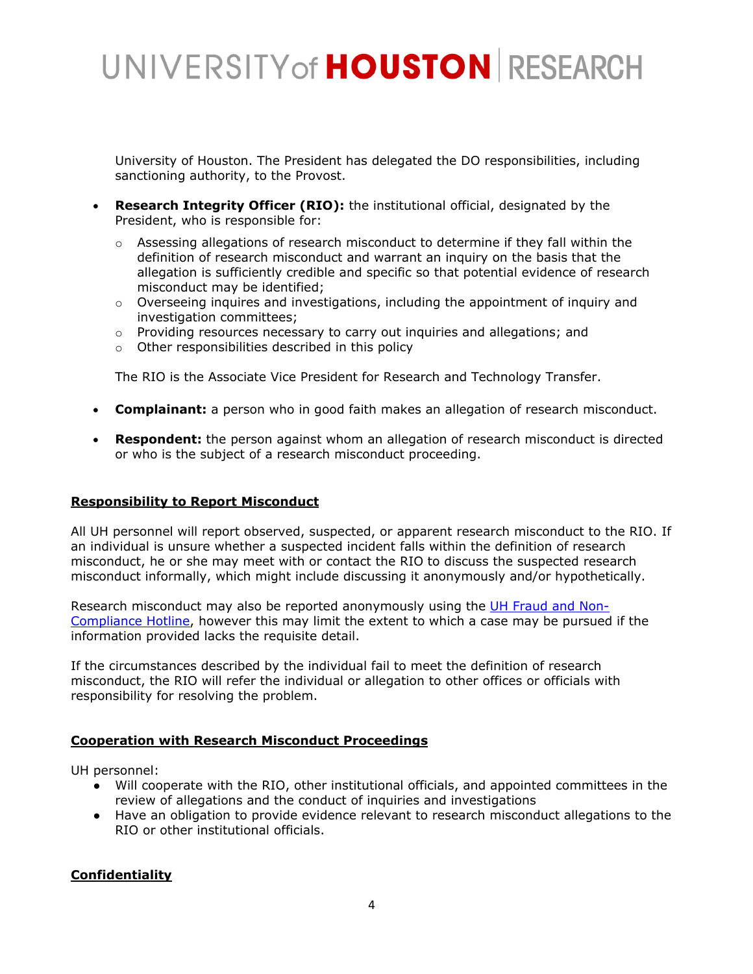University of Houston. The President has delegated the DO responsibilities, including sanctioning authority, to the Provost.

- **Research Integrity Officer (RIO):** the institutional official, designated by the President, who is responsible for:
	- $\circ$  Assessing allegations of research misconduct to determine if they fall within the definition of research misconduct and warrant an inquiry on the basis that the allegation is sufficiently credible and specific so that potential evidence of research misconduct may be identified;
	- $\circ$  Overseeing inquires and investigations, including the appointment of inquiry and investigation committees;
	- $\circ$  Providing resources necessary to carry out inquiries and allegations; and
	- o Other responsibilities described in this policy

The RIO is the Associate Vice President for Research and Technology Transfer.

- **Complainant:** a person who in good faith makes an allegation of research misconduct.
- **Respondent:** the person against whom an allegation of research misconduct is directed or who is the subject of a research misconduct proceeding.

### **Responsibility to Report Misconduct**

All UH personnel will report observed, suspected, or apparent research misconduct to the RIO. If an individual is unsure whether a suspected incident falls within the definition of research misconduct, he or she may meet with or contact the RIO to discuss the suspected research misconduct informally, which might include discussing it anonymously and/or hypothetically.

Research misconduct may also be reported anonymously using the UH Fraud and Non-Compliance Hotline, however this may limit the extent to which a case may be pursued if the information provided lacks the requisite detail.

If the circumstances described by the individual fail to meet the definition of research misconduct, the RIO will refer the individual or allegation to other offices or officials with responsibility for resolving the problem.

### **Cooperation with Research Misconduct Proceedings**

UH personnel:

- Will cooperate with the RIO, other institutional officials, and appointed committees in the review of allegations and the conduct of inquiries and investigations
- Have an obligation to provide evidence relevant to research misconduct allegations to the RIO or other institutional officials.

### **Confidentiality**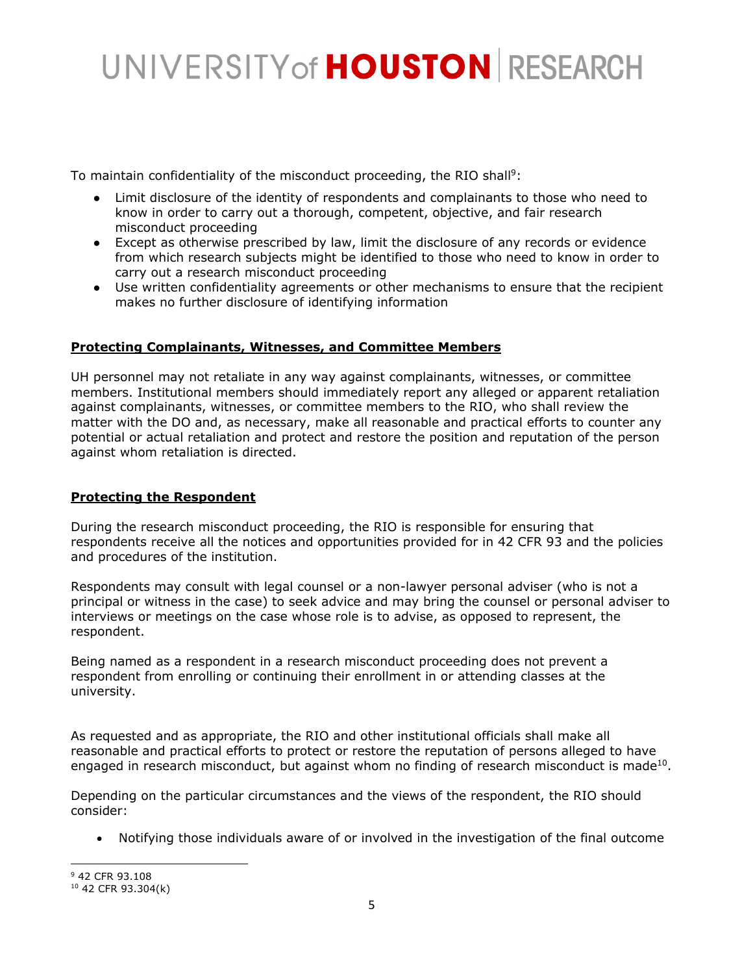To maintain confidentiality of the misconduct proceeding, the RIO shall<sup>9</sup>:

- Limit disclosure of the identity of respondents and complainants to those who need to know in order to carry out a thorough, competent, objective, and fair research misconduct proceeding
- Except as otherwise prescribed by law, limit the disclosure of any records or evidence from which research subjects might be identified to those who need to know in order to carry out a research misconduct proceeding
- Use written confidentiality agreements or other mechanisms to ensure that the recipient makes no further disclosure of identifying information

### **Protecting Complainants, Witnesses, and Committee Members**

UH personnel may not retaliate in any way against complainants, witnesses, or committee members. Institutional members should immediately report any alleged or apparent retaliation against complainants, witnesses, or committee members to the RIO, who shall review the matter with the DO and, as necessary, make all reasonable and practical efforts to counter any potential or actual retaliation and protect and restore the position and reputation of the person against whom retaliation is directed.

### **Protecting the Respondent**

During the research misconduct proceeding, the RIO is responsible for ensuring that respondents receive all the notices and opportunities provided for in 42 CFR 93 and the policies and procedures of the institution.

Respondents may consult with legal counsel or a non-lawyer personal adviser (who is not a principal or witness in the case) to seek advice and may bring the counsel or personal adviser to interviews or meetings on the case whose role is to advise, as opposed to represent, the respondent.

Being named as a respondent in a research misconduct proceeding does not prevent a respondent from enrolling or continuing their enrollment in or attending classes at the university.

As requested and as appropriate, the RIO and other institutional officials shall make all reasonable and practical efforts to protect or restore the reputation of persons alleged to have engaged in research misconduct, but against whom no finding of research misconduct is made<sup>10</sup>.

Depending on the particular circumstances and the views of the respondent, the RIO should consider:

Notifying those individuals aware of or involved in the investigation of the final outcome

9 42 CFR 93.108 10 42 CFR 93.304(k)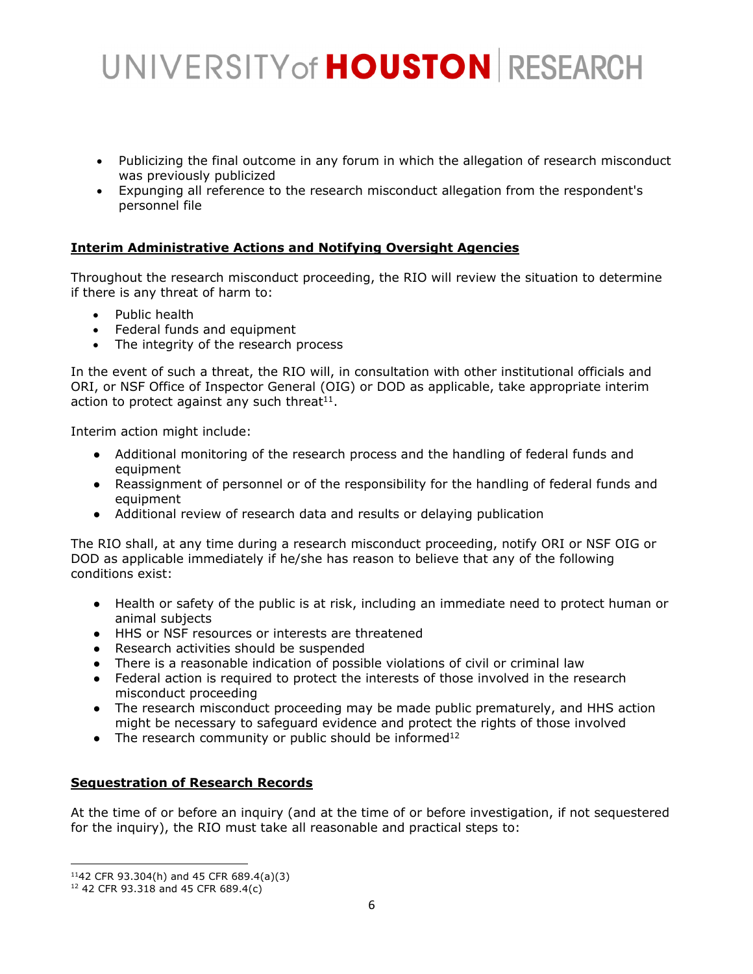- Publicizing the final outcome in any forum in which the allegation of research misconduct was previously publicized
- Expunging all reference to the research misconduct allegation from the respondent's personnel file

### **Interim Administrative Actions and Notifying Oversight Agencies**

Throughout the research misconduct proceeding, the RIO will review the situation to determine if there is any threat of harm to:

- Public health
- Federal funds and equipment
- The integrity of the research process

In the event of such a threat, the RIO will, in consultation with other institutional officials and ORI, or NSF Office of Inspector General (OIG) or DOD as applicable, take appropriate interim action to protect against any such threat<sup>11</sup>.

Interim action might include:

- Additional monitoring of the research process and the handling of federal funds and equipment
- Reassignment of personnel or of the responsibility for the handling of federal funds and equipment
- Additional review of research data and results or delaying publication

The RIO shall, at any time during a research misconduct proceeding, notify ORI or NSF OIG or DOD as applicable immediately if he/she has reason to believe that any of the following conditions exist:

- Health or safety of the public is at risk, including an immediate need to protect human or animal subjects
- HHS or NSF resources or interests are threatened
- Research activities should be suspended
- There is a reasonable indication of possible violations of civil or criminal law
- Federal action is required to protect the interests of those involved in the research misconduct proceeding
- The research misconduct proceeding may be made public prematurely, and HHS action might be necessary to safeguard evidence and protect the rights of those involved
- The research community or public should be informed<sup>12</sup>

#### **Sequestration of Research Records**

At the time of or before an inquiry (and at the time of or before investigation, if not sequestered for the inquiry), the RIO must take all reasonable and practical steps to:

<sup>1142</sup> CFR 93.304(h) and 45 CFR 689.4(a)(3)

 $12$  42 CFR 93.318 and 45 CFR 689.4(c)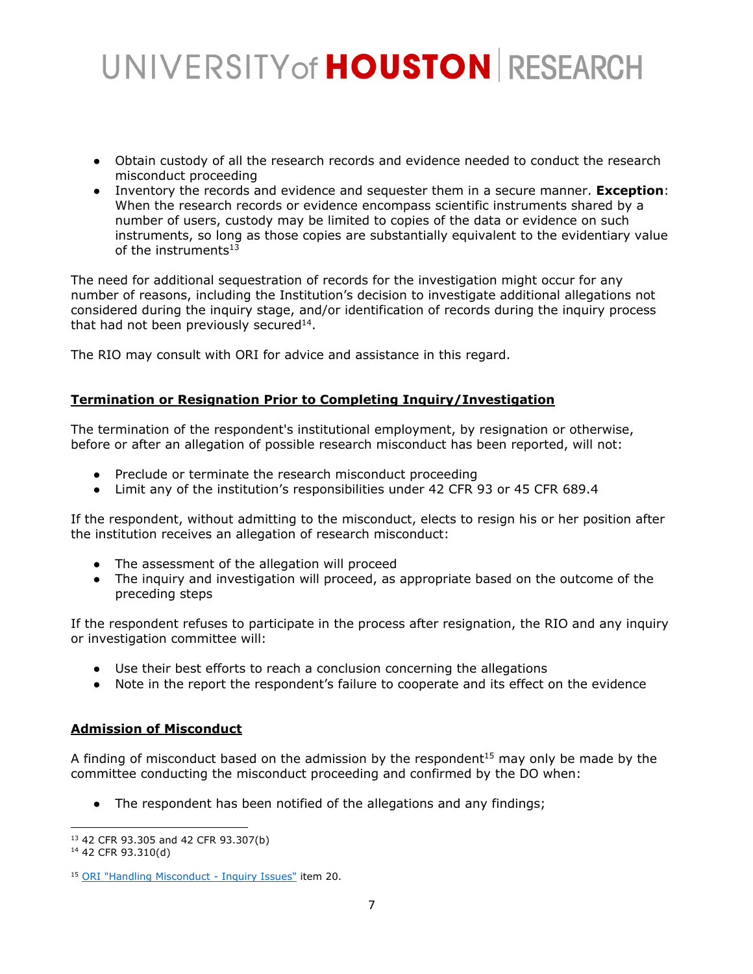- Obtain custody of all the research records and evidence needed to conduct the research misconduct proceeding
- Inventory the records and evidence and sequester them in a secure manner. **Exception**: When the research records or evidence encompass scientific instruments shared by a number of users, custody may be limited to copies of the data or evidence on such instruments, so long as those copies are substantially equivalent to the evidentiary value of the instruments $13$

The need for additional sequestration of records for the investigation might occur for any number of reasons, including the Institution's decision to investigate additional allegations not considered during the inquiry stage, and/or identification of records during the inquiry process that had not been previously secured<sup>14</sup>.

The RIO may consult with ORI for advice and assistance in this regard.

### **Termination or Resignation Prior to Completing Inquiry/Investigation**

The termination of the respondent's institutional employment, by resignation or otherwise, before or after an allegation of possible research misconduct has been reported, will not:

- Preclude or terminate the research misconduct proceeding
- Limit any of the institution's responsibilities under 42 CFR 93 or 45 CFR 689.4

If the respondent, without admitting to the misconduct, elects to resign his or her position after the institution receives an allegation of research misconduct:

- The assessment of the allegation will proceed
- The inquiry and investigation will proceed, as appropriate based on the outcome of the preceding steps

If the respondent refuses to participate in the process after resignation, the RIO and any inquiry or investigation committee will:

- Use their best efforts to reach a conclusion concerning the allegations
- Note in the report the respondent's failure to cooperate and its effect on the evidence

### **Admission of Misconduct**

A finding of misconduct based on the admission by the respondent<sup>15</sup> may only be made by the committee conducting the misconduct proceeding and confirmed by the DO when:

• The respondent has been notified of the allegations and any findings;

<sup>13 42</sup> CFR 93.305 and 42 CFR 93.307(b)

<sup>14 42</sup> CFR 93.310(d)

<sup>15</sup> ORI "Handling Misconduct - Inquiry Issues" item 20.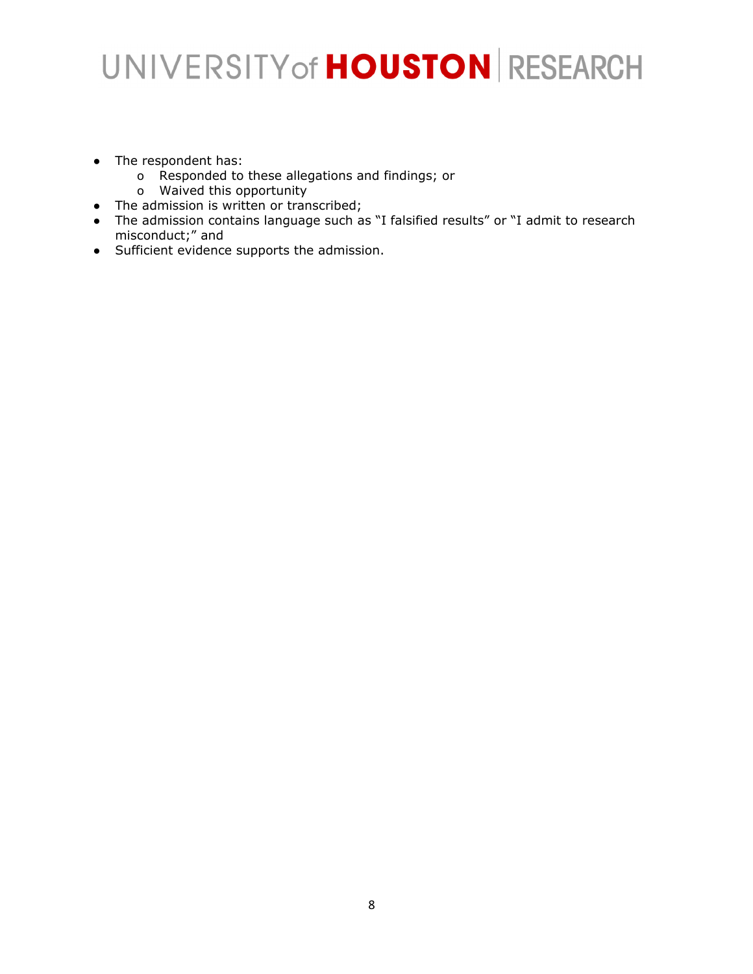- The respondent has:
	- o Responded to these allegations and findings; or
	- o Waived this opportunity
- The admission is written or transcribed;
- The admission contains language such as "I falsified results" or "I admit to research misconduct;" and
- Sufficient evidence supports the admission.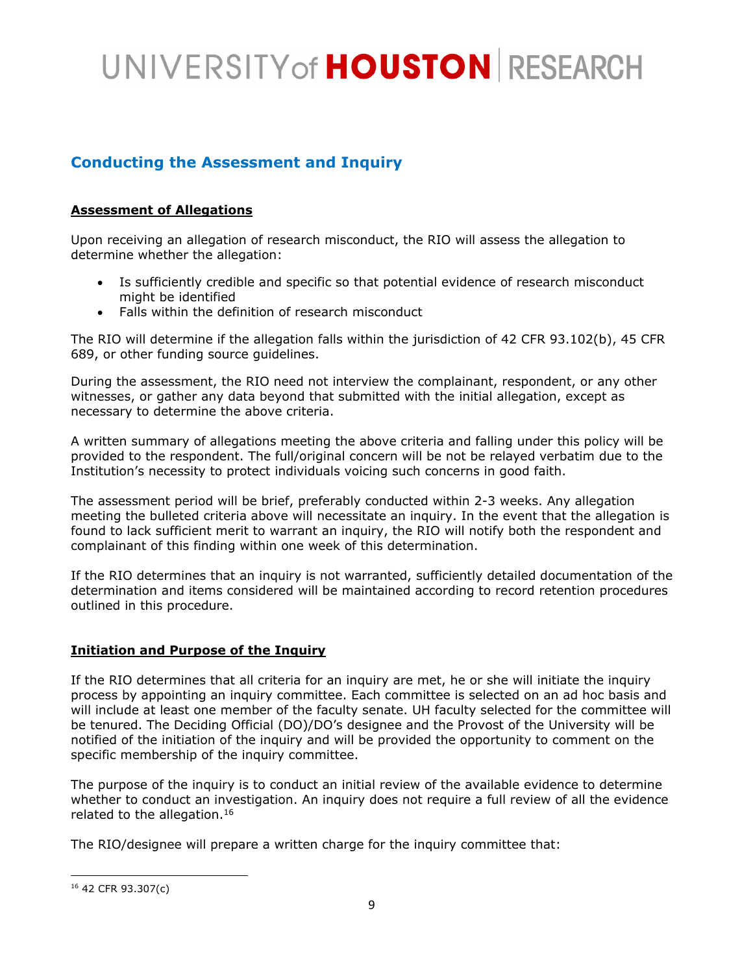### **Conducting the Assessment and Inquiry**

### **Assessment of Allegations**

Upon receiving an allegation of research misconduct, the RIO will assess the allegation to determine whether the allegation:

- Is sufficiently credible and specific so that potential evidence of research misconduct might be identified
- Falls within the definition of research misconduct

The RIO will determine if the allegation falls within the jurisdiction of 42 CFR 93.102(b), 45 CFR 689, or other funding source guidelines.

During the assessment, the RIO need not interview the complainant, respondent, or any other witnesses, or gather any data beyond that submitted with the initial allegation, except as necessary to determine the above criteria.

A written summary of allegations meeting the above criteria and falling under this policy will be provided to the respondent. The full/original concern will be not be relayed verbatim due to the Institution's necessity to protect individuals voicing such concerns in good faith.

The assessment period will be brief, preferably conducted within 2-3 weeks. Any allegation meeting the bulleted criteria above will necessitate an inquiry. In the event that the allegation is found to lack sufficient merit to warrant an inquiry, the RIO will notify both the respondent and complainant of this finding within one week of this determination.

If the RIO determines that an inquiry is not warranted, sufficiently detailed documentation of the determination and items considered will be maintained according to record retention procedures outlined in this procedure.

### **Initiation and Purpose of the Inquiry**

If the RIO determines that all criteria for an inquiry are met, he or she will initiate the inquiry process by appointing an inquiry committee. Each committee is selected on an ad hoc basis and will include at least one member of the faculty senate. UH faculty selected for the committee will be tenured. The Deciding Official (DO)/DO's designee and the Provost of the University will be notified of the initiation of the inquiry and will be provided the opportunity to comment on the specific membership of the inquiry committee.

The purpose of the inquiry is to conduct an initial review of the available evidence to determine whether to conduct an investigation. An inquiry does not require a full review of all the evidence related to the allegation.<sup>16</sup>

The RIO/designee will prepare a written charge for the inquiry committee that:

<sup>16 42</sup> CFR 93.307(c)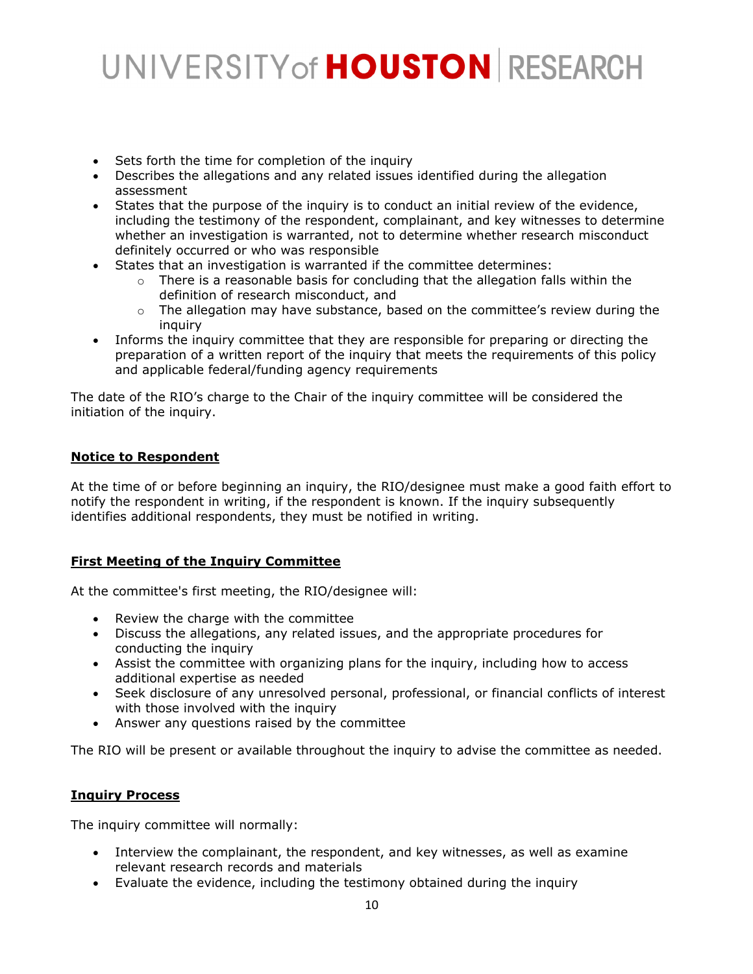- Sets forth the time for completion of the inquiry
- Describes the allegations and any related issues identified during the allegation assessment
- States that the purpose of the inquiry is to conduct an initial review of the evidence, including the testimony of the respondent, complainant, and key witnesses to determine whether an investigation is warranted, not to determine whether research misconduct definitely occurred or who was responsible
- States that an investigation is warranted if the committee determines:
	- $\circ$  There is a reasonable basis for concluding that the allegation falls within the definition of research misconduct, and
	- $\circ$  The allegation may have substance, based on the committee's review during the inquiry
- Informs the inquiry committee that they are responsible for preparing or directing the preparation of a written report of the inquiry that meets the requirements of this policy and applicable federal/funding agency requirements

The date of the RIO's charge to the Chair of the inquiry committee will be considered the initiation of the inquiry.

### **Notice to Respondent**

At the time of or before beginning an inquiry, the RIO/designee must make a good faith effort to notify the respondent in writing, if the respondent is known. If the inquiry subsequently identifies additional respondents, they must be notified in writing.

### **First Meeting of the Inquiry Committee**

At the committee's first meeting, the RIO/designee will:

- Review the charge with the committee
- Discuss the allegations, any related issues, and the appropriate procedures for conducting the inquiry
- Assist the committee with organizing plans for the inquiry, including how to access additional expertise as needed
- Seek disclosure of any unresolved personal, professional, or financial conflicts of interest with those involved with the inquiry
- Answer any questions raised by the committee

The RIO will be present or available throughout the inquiry to advise the committee as needed.

### **Inquiry Process**

The inquiry committee will normally:

- Interview the complainant, the respondent, and key witnesses, as well as examine relevant research records and materials
- Evaluate the evidence, including the testimony obtained during the inquiry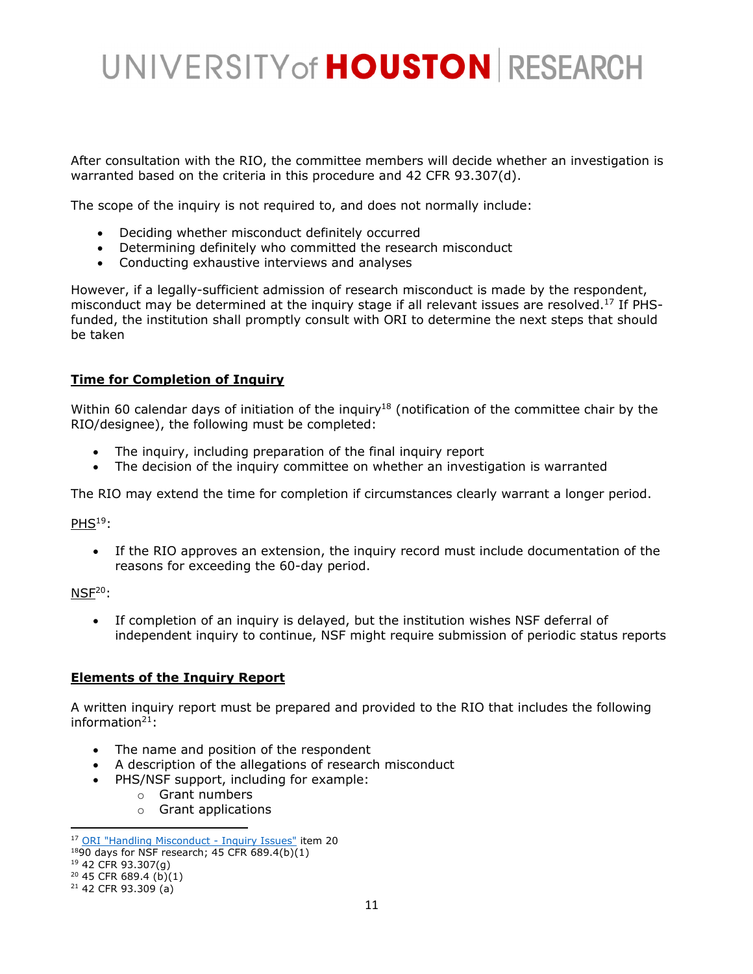After consultation with the RIO, the committee members will decide whether an investigation is warranted based on the criteria in this procedure and 42 CFR 93.307(d).

The scope of the inquiry is not required to, and does not normally include:

- Deciding whether misconduct definitely occurred
- Determining definitely who committed the research misconduct
- Conducting exhaustive interviews and analyses

However, if a legally-sufficient admission of research misconduct is made by the respondent, misconduct may be determined at the inquiry stage if all relevant issues are resolved.<sup>17</sup> If PHSfunded, the institution shall promptly consult with ORI to determine the next steps that should be taken

### **Time for Completion of Inquiry**

Within 60 calendar days of initiation of the inquiry<sup>18</sup> (notification of the committee chair by the RIO/designee), the following must be completed:

- The inquiry, including preparation of the final inquiry report
- The decision of the inquiry committee on whether an investigation is warranted

The RIO may extend the time for completion if circumstances clearly warrant a longer period.

PHS<sup>19</sup>:

 If the RIO approves an extension, the inquiry record must include documentation of the reasons for exceeding the 60-day period.

NSF<sup>20</sup>:

 If completion of an inquiry is delayed, but the institution wishes NSF deferral of independent inquiry to continue, NSF might require submission of periodic status reports

#### **Elements of the Inquiry Report**

A written inquiry report must be prepared and provided to the RIO that includes the following information $21$ :

- The name and position of the respondent
- A description of the allegations of research misconduct
- PHS/NSF support, including for example:
	- o Grant numbers
	- o Grant applications

<sup>&</sup>lt;sup>17</sup> ORI "Handling Misconduct - Inquiry Issues" item 20<br><sup>18</sup>90 days for NSF research; 45 CFR 689.4(b)(1)

 $19$  42 CFR 93.307(g)

<sup>20 45</sup> CFR 689.4 (b)(1)

 $21$  42 CFR 93.309 (a)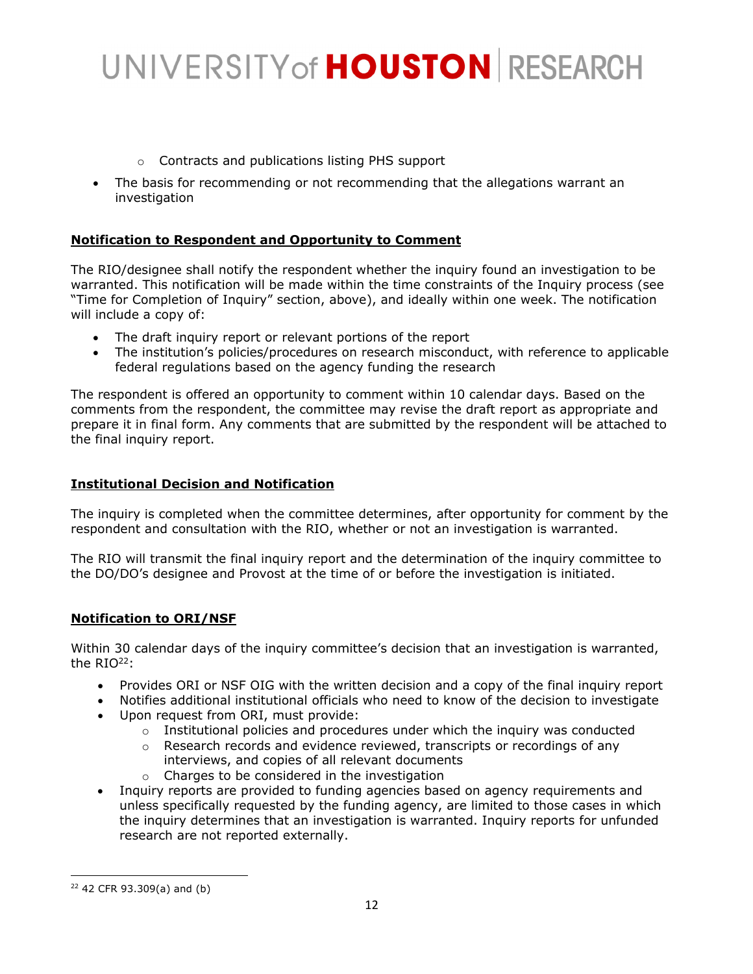- o Contracts and publications listing PHS support
- The basis for recommending or not recommending that the allegations warrant an investigation

### **Notification to Respondent and Opportunity to Comment**

The RIO/designee shall notify the respondent whether the inquiry found an investigation to be warranted. This notification will be made within the time constraints of the Inquiry process (see "Time for Completion of Inquiry" section, above), and ideally within one week. The notification will include a copy of:

- The draft inquiry report or relevant portions of the report
- The institution's policies/procedures on research misconduct, with reference to applicable federal regulations based on the agency funding the research

The respondent is offered an opportunity to comment within 10 calendar days. Based on the comments from the respondent, the committee may revise the draft report as appropriate and prepare it in final form. Any comments that are submitted by the respondent will be attached to the final inquiry report.

#### **Institutional Decision and Notification**

The inquiry is completed when the committee determines, after opportunity for comment by the respondent and consultation with the RIO, whether or not an investigation is warranted.

The RIO will transmit the final inquiry report and the determination of the inquiry committee to the DO/DO's designee and Provost at the time of or before the investigation is initiated.

### **Notification to ORI/NSF**

Within 30 calendar days of the inquiry committee's decision that an investigation is warranted, the RIO<sup>22</sup>:

- Provides ORI or NSF OIG with the written decision and a copy of the final inquiry report
- Notifies additional institutional officials who need to know of the decision to investigate
- Upon request from ORI, must provide:
	- $\circ$  Institutional policies and procedures under which the inquiry was conducted
	- $\circ$  Research records and evidence reviewed, transcripts or recordings of any interviews, and copies of all relevant documents
	- o Charges to be considered in the investigation
- Inquiry reports are provided to funding agencies based on agency requirements and unless specifically requested by the funding agency, are limited to those cases in which the inquiry determines that an investigation is warranted. Inquiry reports for unfunded research are not reported externally.

<sup>22 42</sup> CFR 93.309(a) and (b)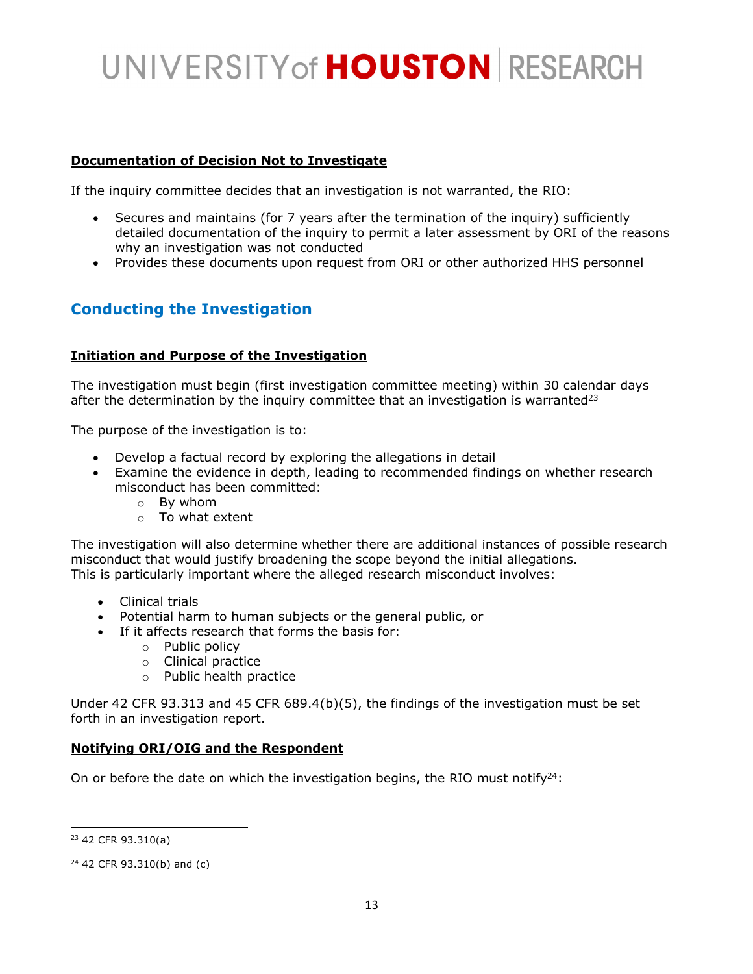### **Documentation of Decision Not to Investigate**

If the inquiry committee decides that an investigation is not warranted, the RIO:

- Secures and maintains (for 7 years after the termination of the inquiry) sufficiently detailed documentation of the inquiry to permit a later assessment by ORI of the reasons why an investigation was not conducted
- Provides these documents upon request from ORI or other authorized HHS personnel

### **Conducting the Investigation**

#### **Initiation and Purpose of the Investigation**

The investigation must begin (first investigation committee meeting) within 30 calendar days after the determination by the inquiry committee that an investigation is warranted $23$ 

The purpose of the investigation is to:

- Develop a factual record by exploring the allegations in detail
- Examine the evidence in depth, leading to recommended findings on whether research misconduct has been committed:
	- o By whom
	- $\circ$  To what extent

The investigation will also determine whether there are additional instances of possible research misconduct that would justify broadening the scope beyond the initial allegations. This is particularly important where the alleged research misconduct involves:

- Clinical trials
- Potential harm to human subjects or the general public, or
- If it affects research that forms the basis for:
	- o Public policy
	- o Clinical practice
	- o Public health practice

Under 42 CFR 93.313 and 45 CFR 689.4(b)(5), the findings of the investigation must be set forth in an investigation report.

#### **Notifying ORI/OIG and the Respondent**

On or before the date on which the investigation begins, the RIO must notify<sup>24</sup>:

<sup>23 42</sup> CFR 93.310(a)

<sup>24 42</sup> CFR 93.310(b) and (c)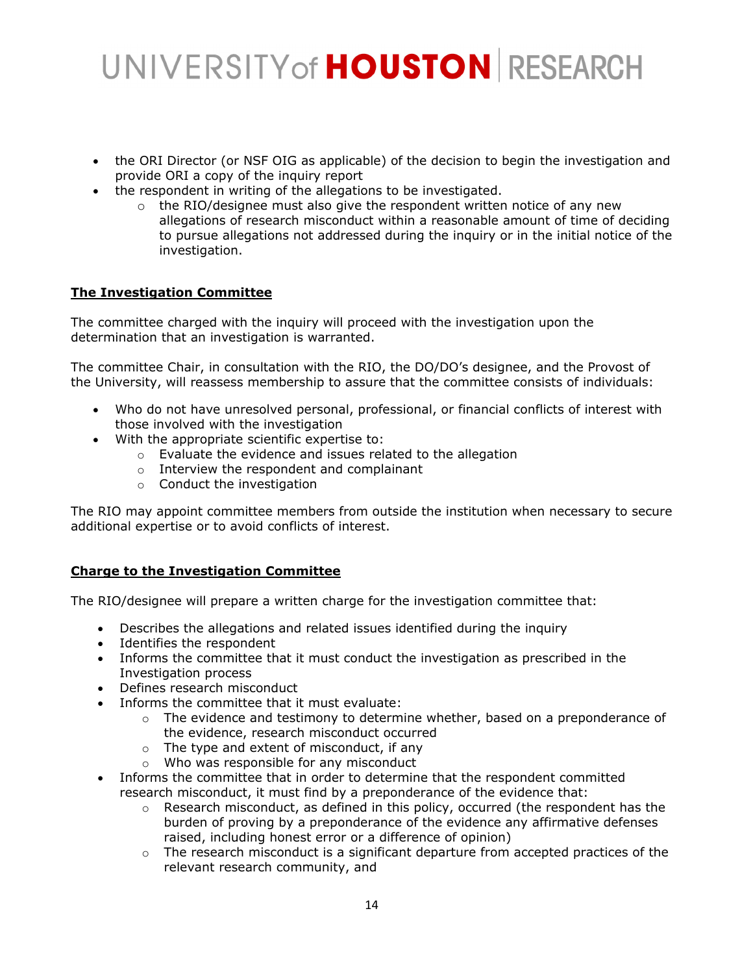- the ORI Director (or NSF OIG as applicable) of the decision to begin the investigation and provide ORI a copy of the inquiry report
- the respondent in writing of the allegations to be investigated.
	- $\circ$  the RIO/designee must also give the respondent written notice of any new allegations of research misconduct within a reasonable amount of time of deciding to pursue allegations not addressed during the inquiry or in the initial notice of the investigation.

#### **The Investigation Committee**

The committee charged with the inquiry will proceed with the investigation upon the determination that an investigation is warranted.

The committee Chair, in consultation with the RIO, the DO/DO's designee, and the Provost of the University, will reassess membership to assure that the committee consists of individuals:

- Who do not have unresolved personal, professional, or financial conflicts of interest with those involved with the investigation
- With the appropriate scientific expertise to:
	- o Evaluate the evidence and issues related to the allegation
	- o Interview the respondent and complainant
	- o Conduct the investigation

The RIO may appoint committee members from outside the institution when necessary to secure additional expertise or to avoid conflicts of interest.

### **Charge to the Investigation Committee**

The RIO/designee will prepare a written charge for the investigation committee that:

- Describes the allegations and related issues identified during the inquiry
- Identifies the respondent
- Informs the committee that it must conduct the investigation as prescribed in the Investigation process
- Defines research misconduct
- Informs the committee that it must evaluate:
	- $\circ$  The evidence and testimony to determine whether, based on a preponderance of the evidence, research misconduct occurred
	- $\circ$  The type and extent of misconduct, if any
	- o Who was responsible for any misconduct
- Informs the committee that in order to determine that the respondent committed research misconduct, it must find by a preponderance of the evidence that:
	- o Research misconduct, as defined in this policy, occurred (the respondent has the burden of proving by a preponderance of the evidence any affirmative defenses raised, including honest error or a difference of opinion)
	- o The research misconduct is a significant departure from accepted practices of the relevant research community, and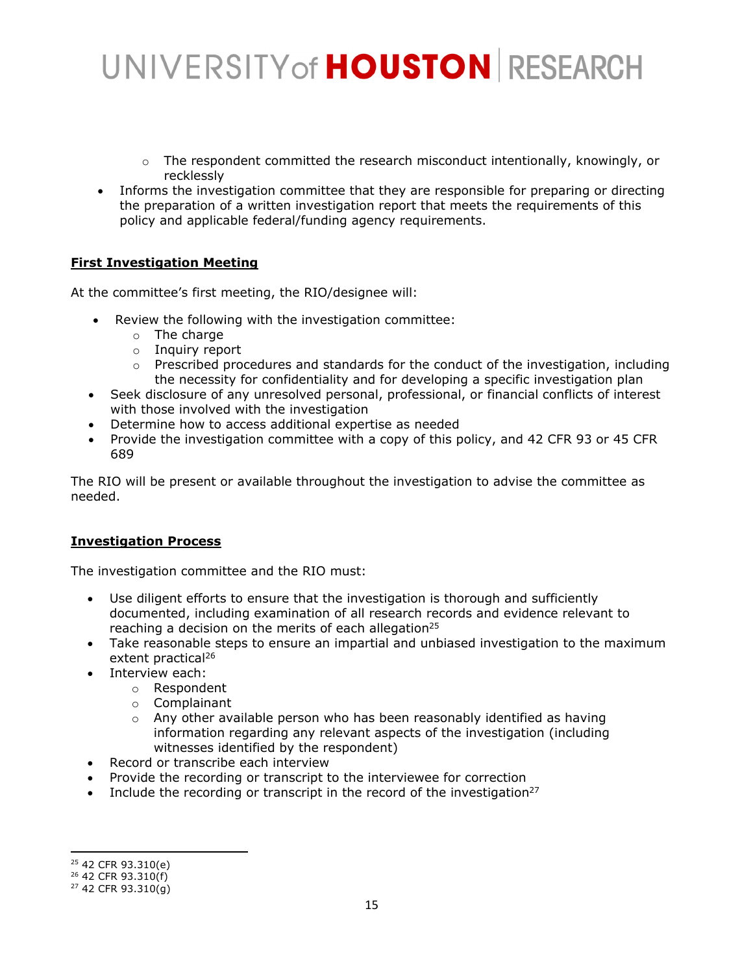- $\circ$  The respondent committed the research misconduct intentionally, knowingly, or recklessly
- Informs the investigation committee that they are responsible for preparing or directing the preparation of a written investigation report that meets the requirements of this policy and applicable federal/funding agency requirements.

### **First Investigation Meeting**

At the committee's first meeting, the RIO/designee will:

- Review the following with the investigation committee:
	- o The charge
	- o Inquiry report
	- o Prescribed procedures and standards for the conduct of the investigation, including the necessity for confidentiality and for developing a specific investigation plan
- Seek disclosure of any unresolved personal, professional, or financial conflicts of interest with those involved with the investigation
- Determine how to access additional expertise as needed
- Provide the investigation committee with a copy of this policy, and 42 CFR 93 or 45 CFR 689

The RIO will be present or available throughout the investigation to advise the committee as needed.

### **Investigation Process**

The investigation committee and the RIO must:

- Use diligent efforts to ensure that the investigation is thorough and sufficiently documented, including examination of all research records and evidence relevant to reaching a decision on the merits of each allegation<sup>25</sup>
- Take reasonable steps to ensure an impartial and unbiased investigation to the maximum extent practical<sup>26</sup>
- Interview each:
	- o Respondent
	- o Complainant
	- $\circ$  Any other available person who has been reasonably identified as having information regarding any relevant aspects of the investigation (including witnesses identified by the respondent)
- Record or transcribe each interview
- Provide the recording or transcript to the interviewee for correction
- Include the recording or transcript in the record of the investigation<sup>27</sup>

<sup>25 42</sup> CFR 93.310(e)

<sup>26 42</sup> CFR 93.310(f)

 $27$  42 CFR 93.310(g)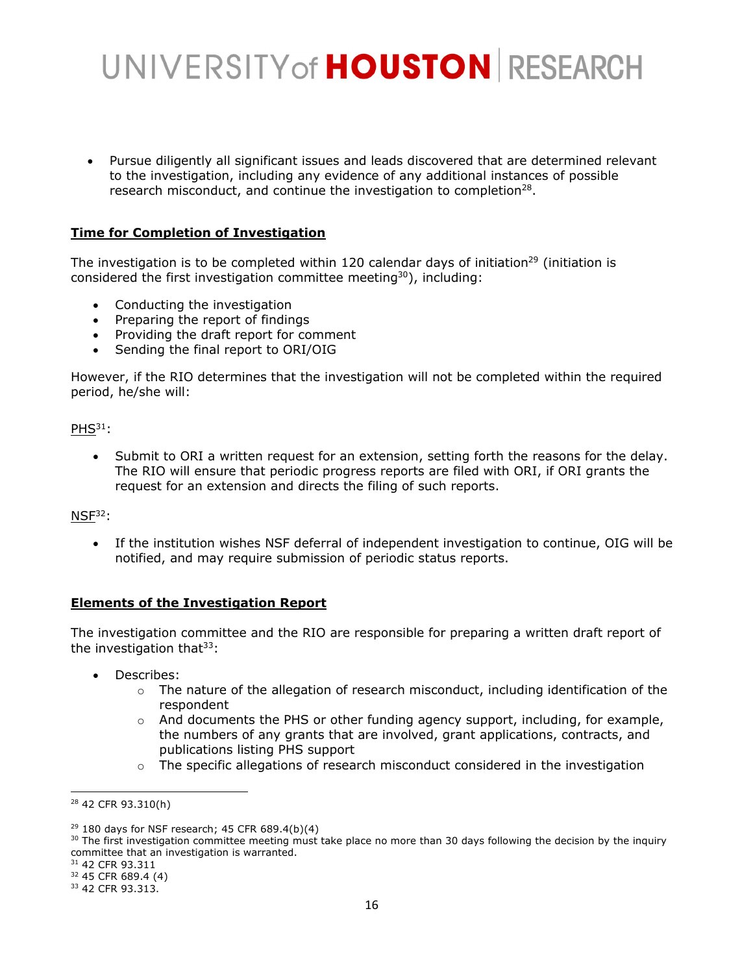Pursue diligently all significant issues and leads discovered that are determined relevant to the investigation, including any evidence of any additional instances of possible research misconduct, and continue the investigation to completion<sup>28</sup>.

### **Time for Completion of Investigation**

The investigation is to be completed within 120 calendar days of initiation<sup>29</sup> (initiation is considered the first investigation committee meeting<sup>30</sup>), including:

- Conducting the investigation
- Preparing the report of findings
- Providing the draft report for comment
- Sending the final report to ORI/OIG

However, if the RIO determines that the investigation will not be completed within the required period, he/she will:

#### $PHS<sup>31</sup>$ :

 Submit to ORI a written request for an extension, setting forth the reasons for the delay. The RIO will ensure that periodic progress reports are filed with ORI, if ORI grants the request for an extension and directs the filing of such reports.

#### NSF32:

 If the institution wishes NSF deferral of independent investigation to continue, OIG will be notified, and may require submission of periodic status reports.

#### **Elements of the Investigation Report**

The investigation committee and the RIO are responsible for preparing a written draft report of the investigation that $33$ :

- Describes:
	- o The nature of the allegation of research misconduct, including identification of the respondent
	- $\circ$  And documents the PHS or other funding agency support, including, for example, the numbers of any grants that are involved, grant applications, contracts, and publications listing PHS support
	- o The specific allegations of research misconduct considered in the investigation

<sup>28 42</sup> CFR 93.310(h)

 $29$  180 days for NSF research; 45 CFR 689.4(b)(4)

 $30$  The first investigation committee meeting must take place no more than 30 days following the decision by the inquiry committee that an investigation is warranted.

<sup>31 42</sup> CFR 93.311

<sup>32 45</sup> CFR 689.4 (4)

<sup>33 42</sup> CFR 93.313.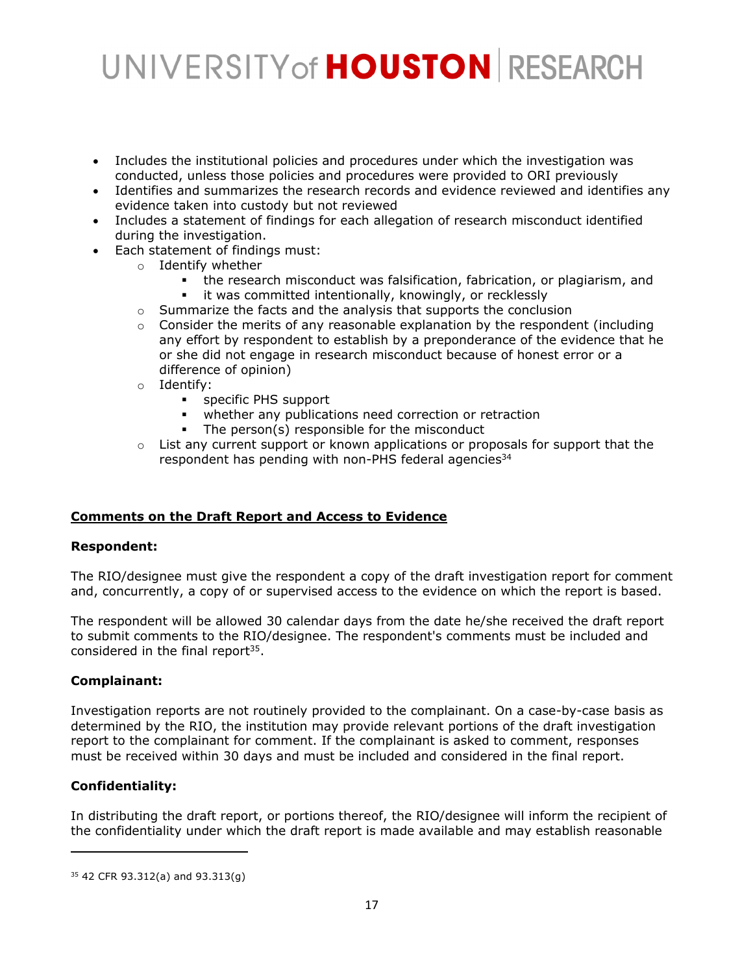- Includes the institutional policies and procedures under which the investigation was conducted, unless those policies and procedures were provided to ORI previously
- Identifies and summarizes the research records and evidence reviewed and identifies any evidence taken into custody but not reviewed
- Includes a statement of findings for each allegation of research misconduct identified during the investigation.
- Each statement of findings must:
	- o Identify whether
		- the research misconduct was falsification, fabrication, or plagiarism, and
		- **i** it was committed intentionally, knowingly, or recklessly
	- o Summarize the facts and the analysis that supports the conclusion
	- $\circ$  Consider the merits of any reasonable explanation by the respondent (including any effort by respondent to establish by a preponderance of the evidence that he or she did not engage in research misconduct because of honest error or a difference of opinion)
	- o Identify:
		- **specific PHS support**
		- whether any publications need correction or retraction
		- The person(s) responsible for the misconduct
	- $\circ$  List any current support or known applications or proposals for support that the respondent has pending with non-PHS federal agencies<sup>34</sup>

### **Comments on the Draft Report and Access to Evidence**

#### **Respondent:**

The RIO/designee must give the respondent a copy of the draft investigation report for comment and, concurrently, a copy of or supervised access to the evidence on which the report is based.

The respondent will be allowed 30 calendar days from the date he/she received the draft report to submit comments to the RIO/designee. The respondent's comments must be included and considered in the final report $35$ .

#### **Complainant:**

Investigation reports are not routinely provided to the complainant. On a case-by-case basis as determined by the RIO, the institution may provide relevant portions of the draft investigation report to the complainant for comment. If the complainant is asked to comment, responses must be received within 30 days and must be included and considered in the final report.

#### **Confidentiality:**

In distributing the draft report, or portions thereof, the RIO/designee will inform the recipient of the confidentiality under which the draft report is made available and may establish reasonable

<sup>35 42</sup> CFR 93.312(a) and 93.313(g)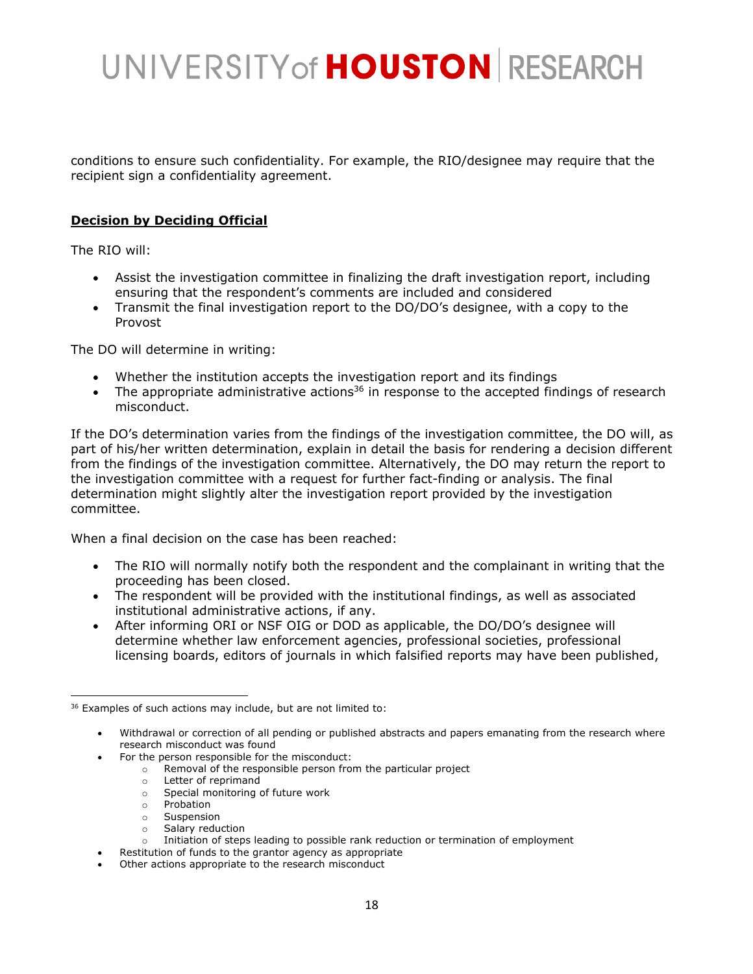conditions to ensure such confidentiality. For example, the RIO/designee may require that the recipient sign a confidentiality agreement.

### **Decision by Deciding Official**

The RIO will:

- Assist the investigation committee in finalizing the draft investigation report, including ensuring that the respondent's comments are included and considered
- Transmit the final investigation report to the DO/DO's designee, with a copy to the Provost

The DO will determine in writing:

- Whether the institution accepts the investigation report and its findings
- The appropriate administrative actions<sup>36</sup> in response to the accepted findings of research misconduct.

If the DO's determination varies from the findings of the investigation committee, the DO will, as part of his/her written determination, explain in detail the basis for rendering a decision different from the findings of the investigation committee. Alternatively, the DO may return the report to the investigation committee with a request for further fact-finding or analysis. The final determination might slightly alter the investigation report provided by the investigation committee.

When a final decision on the case has been reached:

- The RIO will normally notify both the respondent and the complainant in writing that the proceeding has been closed.
- The respondent will be provided with the institutional findings, as well as associated institutional administrative actions, if any.
- After informing ORI or NSF OIG or DOD as applicable, the DO/DO's designee will determine whether law enforcement agencies, professional societies, professional licensing boards, editors of journals in which falsified reports may have been published,

- o Removal of the responsible person from the particular project of reprimand
- o Letter of reprimand
- o Special monitoring of future work
- o Probation
- o Suspension
- o Salary reduction
- o Initiation of steps leading to possible rank reduction or termination of employment

<sup>&</sup>lt;sup>36</sup> Examples of such actions may include, but are not limited to:

Withdrawal or correction of all pending or published abstracts and papers emanating from the research where research misconduct was found

For the person responsible for the misconduct:

Restitution of funds to the grantor agency as appropriate

Other actions appropriate to the research misconduct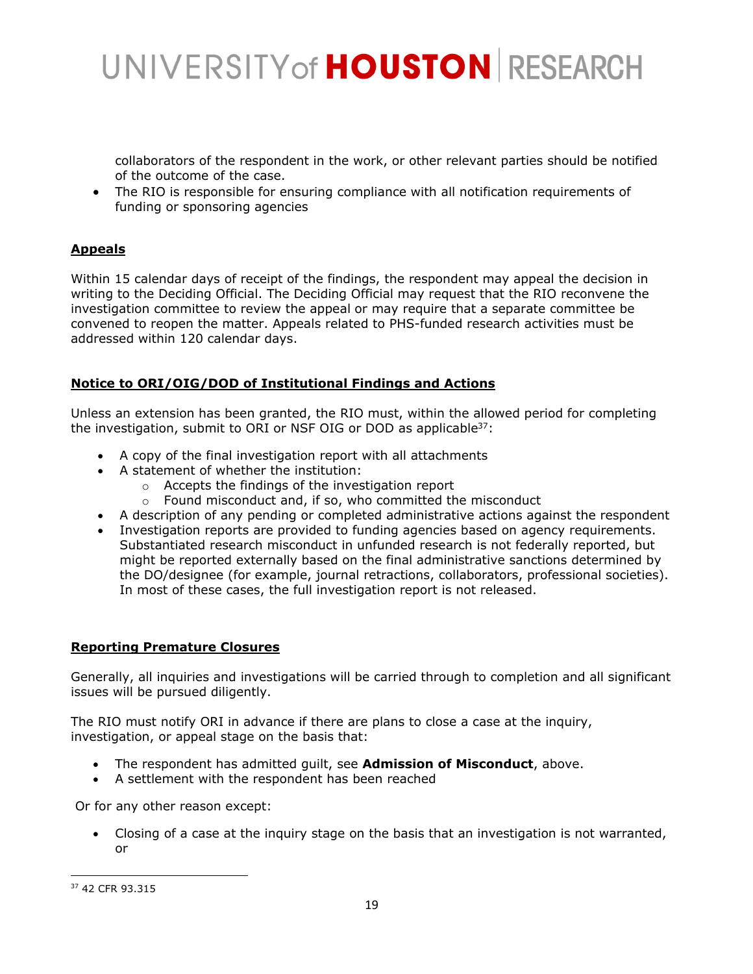collaborators of the respondent in the work, or other relevant parties should be notified of the outcome of the case.

 The RIO is responsible for ensuring compliance with all notification requirements of funding or sponsoring agencies

### **Appeals**

Within 15 calendar days of receipt of the findings, the respondent may appeal the decision in writing to the Deciding Official. The Deciding Official may request that the RIO reconvene the investigation committee to review the appeal or may require that a separate committee be convened to reopen the matter. Appeals related to PHS-funded research activities must be addressed within 120 calendar days.

### **Notice to ORI/OIG/DOD of Institutional Findings and Actions**

Unless an extension has been granted, the RIO must, within the allowed period for completing the investigation, submit to ORI or NSF OIG or DOD as applicable  $37$ :

- A copy of the final investigation report with all attachments
- A statement of whether the institution:
	- o Accepts the findings of the investigation report
	- o Found misconduct and, if so, who committed the misconduct
- A description of any pending or completed administrative actions against the respondent
- Investigation reports are provided to funding agencies based on agency requirements. Substantiated research misconduct in unfunded research is not federally reported, but might be reported externally based on the final administrative sanctions determined by the DO/designee (for example, journal retractions, collaborators, professional societies). In most of these cases, the full investigation report is not released.

#### **Reporting Premature Closures**

Generally, all inquiries and investigations will be carried through to completion and all significant issues will be pursued diligently.

The RIO must notify ORI in advance if there are plans to close a case at the inquiry, investigation, or appeal stage on the basis that:

- The respondent has admitted guilt, see **Admission of Misconduct**, above.
- A settlement with the respondent has been reached

Or for any other reason except:

 Closing of a case at the inquiry stage on the basis that an investigation is not warranted, or

<sup>37 42</sup> CFR 93.315